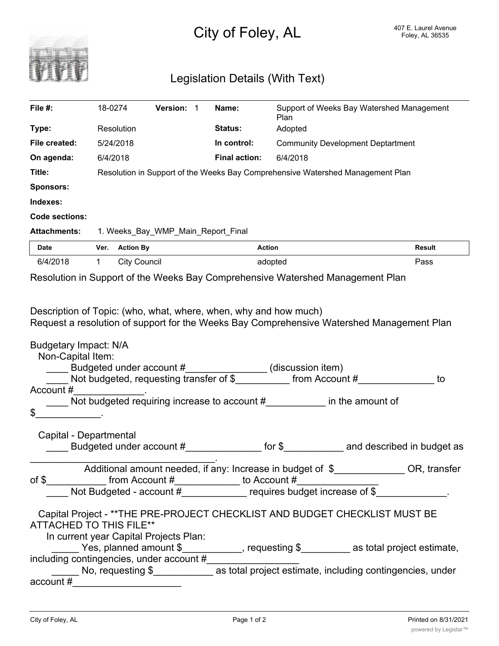

## Legislation Details (With Text)

| File $#$ :                                                                                                                                                                                                                                                                                                                                                                                                                                                                                                                                                                                                                                                                                                                                                                                                                                                                                                | 18-0274                                                                        |                     | Version: 1 |  | Name:                | Support of Weeks Bay Watershed Management<br>Plan |        |
|-----------------------------------------------------------------------------------------------------------------------------------------------------------------------------------------------------------------------------------------------------------------------------------------------------------------------------------------------------------------------------------------------------------------------------------------------------------------------------------------------------------------------------------------------------------------------------------------------------------------------------------------------------------------------------------------------------------------------------------------------------------------------------------------------------------------------------------------------------------------------------------------------------------|--------------------------------------------------------------------------------|---------------------|------------|--|----------------------|---------------------------------------------------|--------|
| Type:                                                                                                                                                                                                                                                                                                                                                                                                                                                                                                                                                                                                                                                                                                                                                                                                                                                                                                     |                                                                                | Resolution          |            |  | <b>Status:</b>       | Adopted                                           |        |
| File created:                                                                                                                                                                                                                                                                                                                                                                                                                                                                                                                                                                                                                                                                                                                                                                                                                                                                                             | 5/24/2018                                                                      |                     |            |  | In control:          | <b>Community Development Deptartment</b>          |        |
| On agenda:                                                                                                                                                                                                                                                                                                                                                                                                                                                                                                                                                                                                                                                                                                                                                                                                                                                                                                | 6/4/2018                                                                       |                     |            |  | <b>Final action:</b> | 6/4/2018                                          |        |
| Title:                                                                                                                                                                                                                                                                                                                                                                                                                                                                                                                                                                                                                                                                                                                                                                                                                                                                                                    | Resolution in Support of the Weeks Bay Comprehensive Watershed Management Plan |                     |            |  |                      |                                                   |        |
| <b>Sponsors:</b>                                                                                                                                                                                                                                                                                                                                                                                                                                                                                                                                                                                                                                                                                                                                                                                                                                                                                          |                                                                                |                     |            |  |                      |                                                   |        |
| Indexes:                                                                                                                                                                                                                                                                                                                                                                                                                                                                                                                                                                                                                                                                                                                                                                                                                                                                                                  |                                                                                |                     |            |  |                      |                                                   |        |
| <b>Code sections:</b>                                                                                                                                                                                                                                                                                                                                                                                                                                                                                                                                                                                                                                                                                                                                                                                                                                                                                     |                                                                                |                     |            |  |                      |                                                   |        |
| <b>Attachments:</b><br>1. Weeks_Bay_WMP_Main_Report_Final                                                                                                                                                                                                                                                                                                                                                                                                                                                                                                                                                                                                                                                                                                                                                                                                                                                 |                                                                                |                     |            |  |                      |                                                   |        |
| <b>Date</b>                                                                                                                                                                                                                                                                                                                                                                                                                                                                                                                                                                                                                                                                                                                                                                                                                                                                                               |                                                                                | Ver. Action By      |            |  | Action               |                                                   | Result |
| 6/4/2018                                                                                                                                                                                                                                                                                                                                                                                                                                                                                                                                                                                                                                                                                                                                                                                                                                                                                                  | $\mathbf{1}$                                                                   | <b>City Council</b> |            |  | adopted              |                                                   | Pass   |
| Resolution in Support of the Weeks Bay Comprehensive Watershed Management Plan                                                                                                                                                                                                                                                                                                                                                                                                                                                                                                                                                                                                                                                                                                                                                                                                                            |                                                                                |                     |            |  |                      |                                                   |        |
| Budgetary Impact: N/A<br>Non-Capital Item:<br>budgeted under account #________________(discussion item)<br>Not budgeted, requesting transfer of \$____________ from Account #______________<br>to<br>Account #<br><u> 1999 - Jan Jawa Barat, p</u><br>Not budgeted requiring increase to account #_____________ in the amount of<br>\$                                                                                                                                                                                                                                                                                                                                                                                                                                                                                                                                                                    |                                                                                |                     |            |  |                      |                                                   |        |
| Capital - Departmental                                                                                                                                                                                                                                                                                                                                                                                                                                                                                                                                                                                                                                                                                                                                                                                                                                                                                    |                                                                                |                     |            |  |                      |                                                   |        |
| Additional amount needed, if any: Increase in budget of \$______________OR, transfer<br>of \$___________ from Account #____________ to Account #__________________________<br>Not Budgeted - account #_______________ requires budget increase of \$_____________.<br>Capital Project - ** THE PRE-PROJECT CHECKLIST AND BUDGET CHECKLIST MUST BE<br><b>ATTACHED TO THIS FILE**</b><br>In current year Capital Projects Plan:<br>_____ Yes, planned amount $\$\_\_\_\_\_\_\_\_$ , requesting $\$\_\_\_\_\_$ as total project estimate,<br>including contingencies, under account #<br>$\frac{1}{2}$ $\frac{1}{2}$ $\frac{1}{2}$ $\frac{1}{2}$ $\frac{1}{2}$ $\frac{1}{2}$ $\frac{1}{2}$ $\frac{1}{2}$ $\frac{1}{2}$ $\frac{1}{2}$ $\frac{1}{2}$ $\frac{1}{2}$ $\frac{1}{2}$ $\frac{1}{2}$ $\frac{1}{2}$ $\frac{1}{2}$ $\frac{1}{2}$ $\frac{1}{2}$ $\frac{1}{2}$ $\frac{1}{2}$ $\frac{1}{2}$ $\frac{1}{2}$ |                                                                                |                     |            |  |                      |                                                   |        |
|                                                                                                                                                                                                                                                                                                                                                                                                                                                                                                                                                                                                                                                                                                                                                                                                                                                                                                           |                                                                                |                     |            |  |                      |                                                   |        |